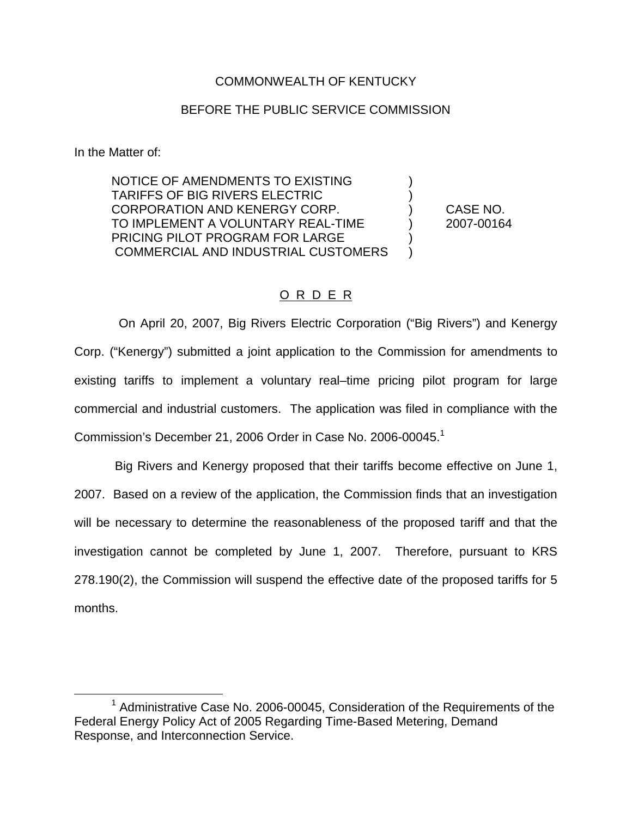#### COMMONWEALTH OF KENTUCKY

#### BEFORE THE PUBLIC SERVICE COMMISSION

In the Matter of:

NOTICE OF AMENDMENTS TO EXISTING ) TARIFFS OF BIG RIVERS ELECTRIC ) CORPORATION AND KENERGY CORP. ) CASE NO. TO IMPLEMENT A VOLUNTARY REAL-TIME ) 2007-00164 PRICING PILOT PROGRAM FOR LARGE COMMERCIAL AND INDUSTRIAL CUSTOMERS )

### O R D E R

On April 20, 2007, Big Rivers Electric Corporation ("Big Rivers") and Kenergy Corp. ("Kenergy") submitted a joint application to the Commission for amendments to existing tariffs to implement a voluntary real–time pricing pilot program for large commercial and industrial customers. The application was filed in compliance with the Commission's December 21, 2006 Order in Case No. 2006-00045.<sup>1</sup>

Big Rivers and Kenergy proposed that their tariffs become effective on June 1, 2007. Based on a review of the application, the Commission finds that an investigation will be necessary to determine the reasonableness of the proposed tariff and that the investigation cannot be completed by June 1, 2007. Therefore, pursuant to KRS 278.190(2), the Commission will suspend the effective date of the proposed tariffs for 5 months.

 $1$  Administrative Case No. 2006-00045, Consideration of the Requirements of the Federal Energy Policy Act of 2005 Regarding Time-Based Metering, Demand Response, and Interconnection Service.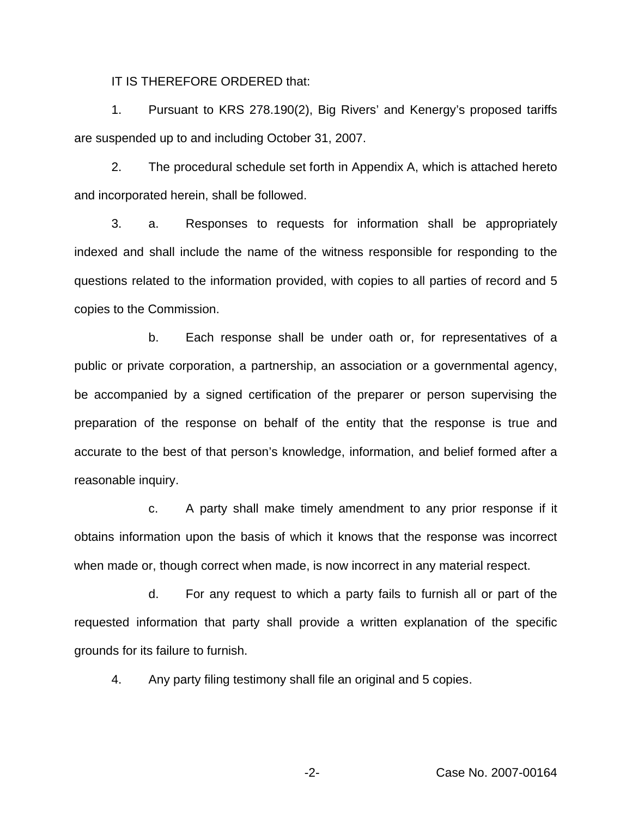IT IS THEREFORE ORDERED that:

1. Pursuant to KRS 278.190(2), Big Rivers' and Kenergy's proposed tariffs are suspended up to and including October 31, 2007.

2. The procedural schedule set forth in Appendix A, which is attached hereto and incorporated herein, shall be followed.

3. a. Responses to requests for information shall be appropriately indexed and shall include the name of the witness responsible for responding to the questions related to the information provided, with copies to all parties of record and 5 copies to the Commission.

b. Each response shall be under oath or, for representatives of a public or private corporation, a partnership, an association or a governmental agency, be accompanied by a signed certification of the preparer or person supervising the preparation of the response on behalf of the entity that the response is true and accurate to the best of that person's knowledge, information, and belief formed after a reasonable inquiry.

c. A party shall make timely amendment to any prior response if it obtains information upon the basis of which it knows that the response was incorrect when made or, though correct when made, is now incorrect in any material respect.

d. For any request to which a party fails to furnish all or part of the requested information that party shall provide a written explanation of the specific grounds for its failure to furnish.

4. Any party filing testimony shall file an original and 5 copies.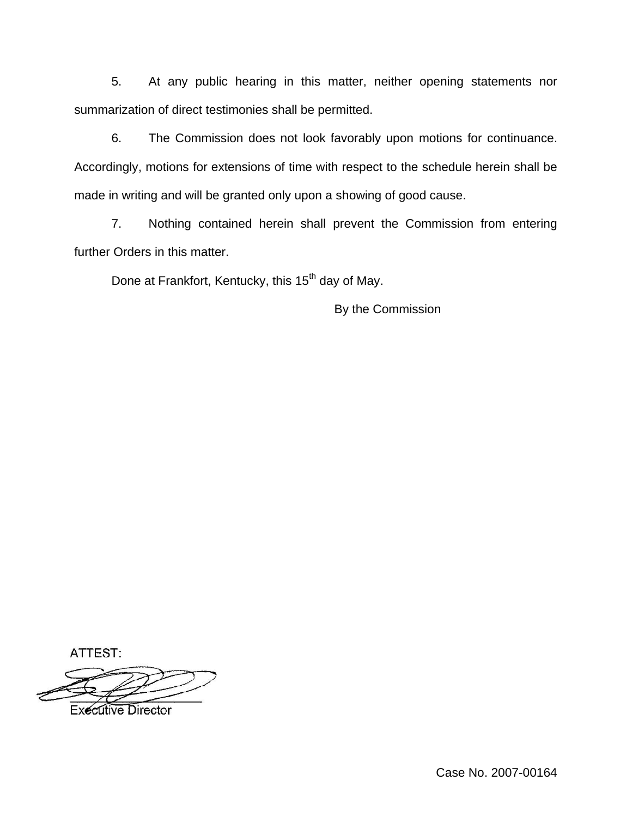5. At any public hearing in this matter, neither opening statements nor summarization of direct testimonies shall be permitted.

6. The Commission does not look favorably upon motions for continuance. Accordingly, motions for extensions of time with respect to the schedule herein shall be made in writing and will be granted only upon a showing of good cause.

7. Nothing contained herein shall prevent the Commission from entering further Orders in this matter.

Done at Frankfort, Kentucky, this 15<sup>th</sup> day of May.

By the Commission

ATTEST:

**Executive Director** 

Case No. 2007-00164